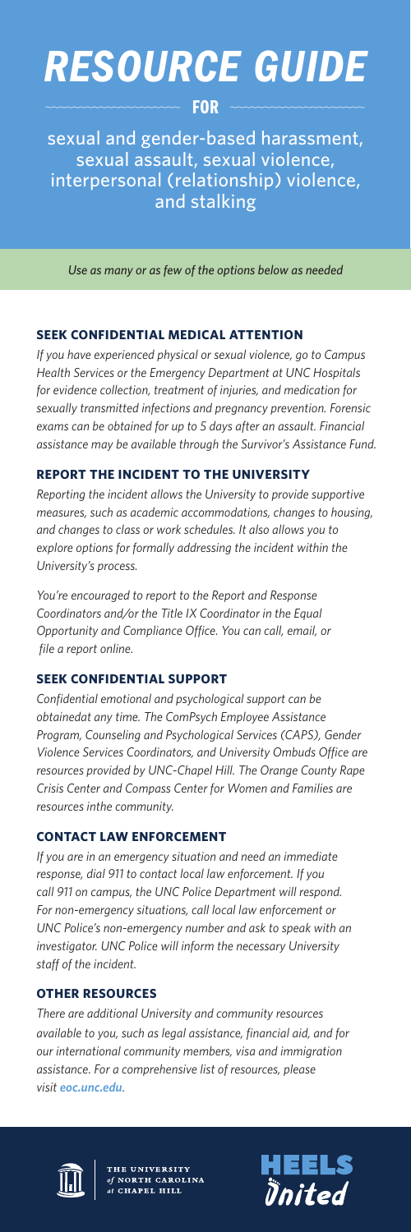# *RESOURCE GUIDE*

FOR

sexual and gender-based harassment, sexual assault, sexual violence, interpersonal (relationship) violence, and stalking

*Use as many or as few of the options below as needed*

# **SEEK CONFIDENTIAL MEDICAL ATTENTION**

*If you have experienced physical or sexual violence, go to Campus Health Services or the Emergency Department at UNC Hospitals for evidence collection, treatment of injuries, and medication for sexually transmitted infections and pregnancy prevention. Forensic exams can be obtained for up to 5 days after an assault. Financial assistance may be available through the Survivor's Assistance Fund.* 

# **REPORT THE INCIDENT TO THE UNIVERSITY**

*Reporting the incident allows the University to provide supportive measures, such as academic accommodations, changes to housing, and changes to class or work schedules. It also allows you to explore options for formally addressing the incident within the University's process.* 

*You're encouraged to report to the Report and Response Coordinators and/or the Title IX Coordinator in the Equal Opportunity and Compliance Office. You can call, email, or file a report online.* 

## **SEEK CONFIDENTIAL SUPPORT**

*Confidential emotional and psychological support can be obtainedat any time. The ComPsych Employee Assistance Program, Counseling and Psychological Services (CAPS), Gender Violence Services Coordinators, and University Ombuds Office are resources provided by UNC-Chapel Hill. The Orange County Rape Crisis Center and Compass Center for Women and Families are resources inthe community.*

## **CONTACT LAW ENFORCEMENT**

*If you are in an emergency situation and need an immediate response, dial 911 to contact local law enforcement. If you call 911 on campus, the UNC Police Department will respond. For non-emergency situations, call local law enforcement or UNC Police's non-emergency number and ask to speak with an investigator. UNC Police will inform the necessary University staff of the incident.* 

## **OTHER RESOURCES**

*There are additional University and community resources available to you, such as legal assistance, financial aid, and for our international community members, visa and immigration assistance. For a comprehensive list of resources, please visit eoc.unc.edu.*



THE UNIVERSITY<br>of NORTH CAROLINA<br>at CHAPEL HILL